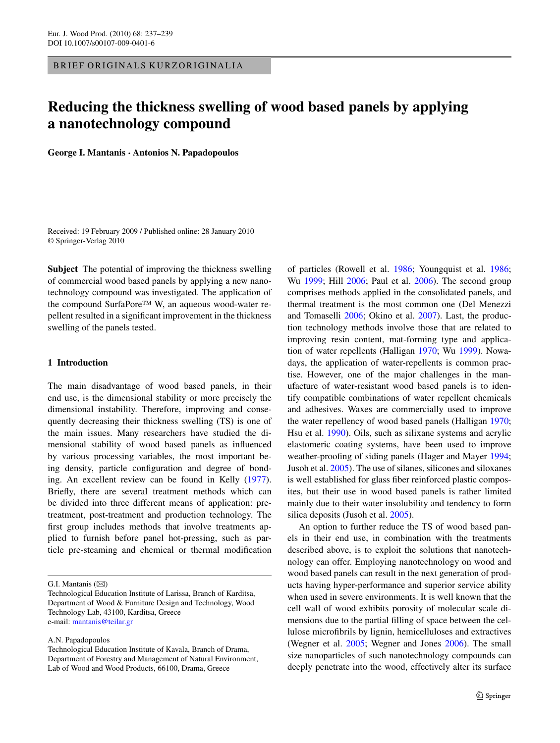BRIEF ORIGINALS KURZORIGINALIA

# **Reducing the thickness swelling of wood based panels by applying a nanotechnology compound**

**George I. Mantanis · Antonios N. Papadopoulos**

Received: 19 February 2009 / Published online: 28 January 2010 © Springer-Verlag 2010

**Subject** The potential of improving the thickness swelling of commercial wood based panels by applying a new nanotechnology compound was investigated. The application of the compound SurfaPore™ W, an aqueous wood-water repellent resulted in a significant improvement in the thickness swelling of the panels tested.

## **1 Introduction**

The main disadvantage of wood based panels, in their end use, is the dimensional stability or more precisely the dimensional instability. Therefore, improving and consequently decreasing their thickness swelling (TS) is one of the main issues. Many researchers have studied the dimensional stability of wood based panels as influenced by various processing variables, the most important being density, particle configuration and degree of bonding. An excellent review can be found in Kelly [\(1977](#page-2-0)). Briefly, there are several treatment methods which can be divided into three different means of application: pretreatment, post-treatment and production technology. The first group includes methods that involve treatments applied to furnish before panel hot-pressing, such as particle pre-steaming and chemical or thermal modification

A.N. Papadopoulos

of particles (Rowell et al. [1986;](#page-2-0) Youngquist et al. [1986](#page-2-0); Wu [1999](#page-2-0); Hill [2006;](#page-2-0) Paul et al. [2006\)](#page-2-0). The second group comprises methods applied in the consolidated panels, and thermal treatment is the most common one (Del Menezzi and Tomaselli [2006](#page-2-0); Okino et al. [2007\)](#page-2-0). Last, the production technology methods involve those that are related to improving resin content, mat-forming type and application of water repellents (Halligan [1970;](#page-2-0) Wu [1999](#page-2-0)). Nowadays, the application of water-repellents is common practise. However, one of the major challenges in the manufacture of water-resistant wood based panels is to identify compatible combinations of water repellent chemicals and adhesives. Waxes are commercially used to improve the water repellency of wood based panels (Halligan [1970](#page-2-0); Hsu et al. [1990\)](#page-2-0). Oils, such as silixane systems and acrylic elastomeric coating systems, have been used to improve weather-proofing of siding panels (Hager and Mayer [1994](#page-2-0); Jusoh et al. [2005](#page-2-0)). The use of silanes, silicones and siloxanes is well established for glass fiber reinforced plastic composites, but their use in wood based panels is rather limited mainly due to their water insolubility and tendency to form silica deposits (Jusoh et al. [2005\)](#page-2-0).

An option to further reduce the TS of wood based panels in their end use, in combination with the treatments described above, is to exploit the solutions that nanotechnology can offer. Employing nanotechnology on wood and wood based panels can result in the next generation of products having hyper-performance and superior service ability when used in severe environments. It is well known that the cell wall of wood exhibits porosity of molecular scale dimensions due to the partial filling of space between the cellulose microfibrils by lignin, hemicelluloses and extractives (Wegner et al. [2005](#page-2-0); Wegner and Jones [2006](#page-2-0)). The small size nanoparticles of such nanotechnology compounds can deeply penetrate into the wood, effectively alter its surface

G.I. Mantanis  $(\boxtimes)$ 

Technological Education Institute of Larissa, Branch of Karditsa, Department of Wood & Furniture Design and Technology, Wood Technology Lab, 43100, Karditsa, Greece e-mail: [mantanis@teilar.gr](mailto:mantanis@teilar.gr)

Technological Education Institute of Kavala, Branch of Drama, Department of Forestry and Management of Natural Environment, Lab of Wood and Wood Products, 66100, Drama, Greece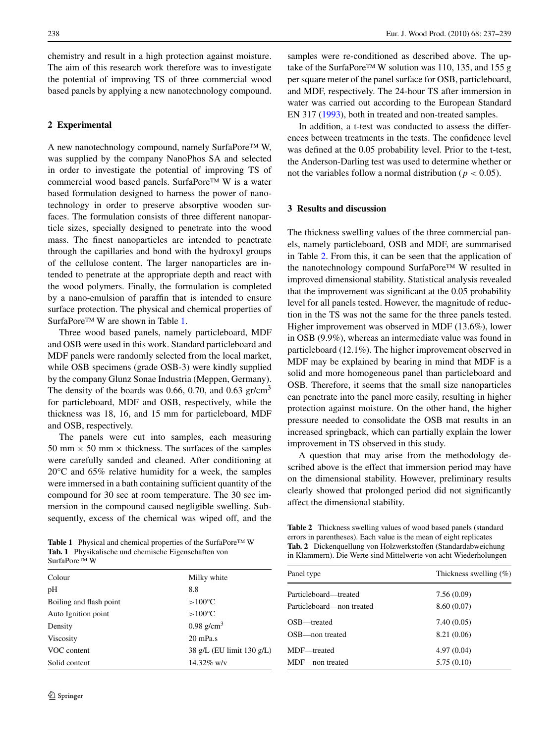chemistry and result in a high protection against moisture. The aim of this research work therefore was to investigate the potential of improving TS of three commercial wood based panels by applying a new nanotechnology compound.

#### **2 Experimental**

A new nanotechnology compound, namely SurfaPore™ W, was supplied by the company NanoPhos SA and selected in order to investigate the potential of improving TS of commercial wood based panels. SurfaPore™ W is a water based formulation designed to harness the power of nanotechnology in order to preserve absorptive wooden surfaces. The formulation consists of three different nanoparticle sizes, specially designed to penetrate into the wood mass. The finest nanoparticles are intended to penetrate through the capillaries and bond with the hydroxyl groups of the cellulose content. The larger nanoparticles are intended to penetrate at the appropriate depth and react with the wood polymers. Finally, the formulation is completed by a nano-emulsion of paraffin that is intended to ensure surface protection. The physical and chemical properties of SurfaPore™ W are shown in Table 1.

Three wood based panels, namely particleboard, MDF and OSB were used in this work. Standard particleboard and MDF panels were randomly selected from the local market, while OSB specimens (grade OSB-3) were kindly supplied by the company Glunz Sonae Industria (Meppen, Germany). The density of the boards was 0.66, 0.70, and 0.63 gr/cm<sup>3</sup> for particleboard, MDF and OSB, respectively, while the thickness was 18, 16, and 15 mm for particleboard, MDF and OSB, respectively.

The panels were cut into samples, each measuring 50 mm  $\times$  50 mm  $\times$  thickness. The surfaces of the samples were carefully sanded and cleaned. After conditioning at 20°C and 65% relative humidity for a week, the samples were immersed in a bath containing sufficient quantity of the compound for 30 sec at room temperature. The 30 sec immersion in the compound caused negligible swelling. Subsequently, excess of the chemical was wiped off, and the

**Table 1** Physical and chemical properties of the SurfaPore™ W **Tab. 1** Physikalische und chemische Eigenschaften von SurfaPore™ W

| Colour                  | Milky white               |
|-------------------------|---------------------------|
| pН                      | 8.8                       |
| Boiling and flash point | $>100^{\circ}C$           |
| Auto Ignition point     | $>100^{\circ}$ C          |
| Density                 | $0.98$ g/cm <sup>3</sup>  |
| Viscosity               | $20 \text{ mPa.s}$        |
| VOC content             | 38 g/L (EU limit 130 g/L) |
| Solid content           | $14.32\%$ w/v             |
|                         |                           |

samples were re-conditioned as described above. The uptake of the SurfaPore™ W solution was 110, 135, and 155 g per square meter of the panel surface for OSB, particleboard, and MDF, respectively. The 24-hour TS after immersion in water was carried out according to the European Standard EN 317 [\(1993](#page-2-0)), both in treated and non-treated samples.

In addition, a t-test was conducted to assess the differences between treatments in the tests. The confidence level was defined at the 0.05 probability level. Prior to the t-test, the Anderson-Darling test was used to determine whether or not the variables follow a normal distribution ( $p < 0.05$ ).

### **3 Results and discussion**

The thickness swelling values of the three commercial panels, namely particleboard, OSB and MDF, are summarised in Table 2. From this, it can be seen that the application of the nanotechnology compound SurfaPore™ W resulted in improved dimensional stability. Statistical analysis revealed that the improvement was significant at the 0.05 probability level for all panels tested. However, the magnitude of reduction in the TS was not the same for the three panels tested. Higher improvement was observed in MDF (13.6%), lower in OSB (9.9%), whereas an intermediate value was found in particleboard (12.1%). The higher improvement observed in MDF may be explained by bearing in mind that MDF is a solid and more homogeneous panel than particleboard and OSB. Therefore, it seems that the small size nanoparticles can penetrate into the panel more easily, resulting in higher protection against moisture. On the other hand, the higher pressure needed to consolidate the OSB mat results in an increased springback, which can partially explain the lower improvement in TS observed in this study.

A question that may arise from the methodology described above is the effect that immersion period may have on the dimensional stability. However, preliminary results clearly showed that prolonged period did not significantly affect the dimensional stability.

**Table 2** Thickness swelling values of wood based panels (standard errors in parentheses). Each value is the mean of eight replicates **Tab. 2** Dickenquellung von Holzwerkstoffen (Standardabweichung in Klammern). Die Werte sind Mittelwerte von acht Wiederholungen

| Panel type                | Thickness swelling $(\% )$ |
|---------------------------|----------------------------|
| Particleboard—treated     | 7.56(0.09)                 |
| Particleboard—non treated | 8.60 (0.07)                |
| OSB—treated               | 7.40(0.05)                 |
| OSB—non treated           | 8.21 (0.06)                |
| MDF-treated               | 4.97(0.04)                 |
| MDF—non treated           | 5.75(0.10)                 |